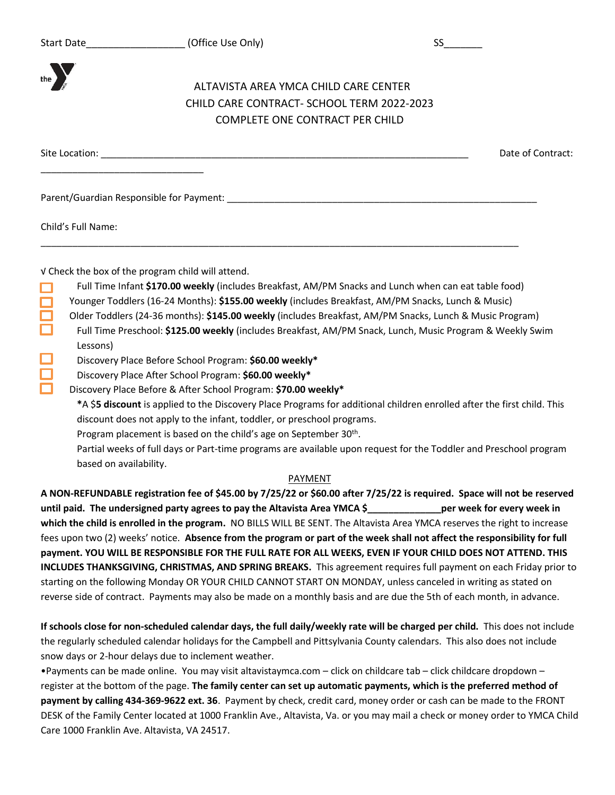

# ALTAVISTA AREA YMCA CHILD CARE CENTER CHILD CARE CONTRACT- SCHOOL TERM 2022-2023 COMPLETE ONE CONTRACT PER CHILD

Site Location: \_\_\_\_\_\_\_\_\_\_\_\_\_\_\_\_\_\_\_\_\_\_\_\_\_\_\_\_\_\_\_\_\_\_\_\_\_\_\_\_\_\_\_\_\_\_\_\_\_\_\_\_\_\_\_\_\_\_\_\_\_\_\_\_\_\_\_\_\_\_ Date of Contract:

Parent/Guardian Responsible for Payment: \_\_\_\_\_\_\_\_\_\_\_\_\_\_\_\_\_\_\_\_\_\_\_\_\_\_\_\_\_\_\_\_\_\_\_\_\_\_\_\_\_\_\_\_\_\_\_\_\_\_\_\_\_\_\_\_\_\_\_

\_\_\_\_\_\_\_\_\_\_\_\_\_\_\_\_\_\_\_\_\_\_\_\_\_\_\_\_\_\_\_

Child's Full Name:

Lessons)

√ Check the box of the program child will attend.

Full Time Infant **\$170.00 weekly** (includes Breakfast, AM/PM Snacks and Lunch when can eat table food) Younger Toddlers (16-24 Months): **\$155.00 weekly** (includes Breakfast, AM/PM Snacks, Lunch & Music)

\_\_\_\_\_\_\_\_\_\_\_\_\_\_\_\_\_\_\_\_\_\_\_\_\_\_\_\_\_\_\_\_\_\_\_\_\_\_\_\_\_\_\_\_\_\_\_\_\_\_\_\_\_\_\_\_\_\_\_\_\_\_\_\_\_\_\_\_\_\_\_\_\_\_\_\_\_\_\_\_\_\_\_\_\_\_\_\_\_\_\_

- Older Toddlers (24-36 months): **\$145.00 weekly** (includes Breakfast, AM/PM Snacks, Lunch & Music Program) Full Time Preschool: **\$125.00 weekly** (includes Breakfast, AM/PM Snack, Lunch, Music Program & Weekly Swim
- Discovery Place Before School Program: **\$60.00 weekly\***
	- Discovery Place After School Program: **\$60.00 weekly\***
- Discovery Place Before & After School Program: **\$70.00 weekly\***
	- **\***A \$**5 discount** is applied to the Discovery Place Programs for additional children enrolled after the first child. This discount does not apply to the infant, toddler, or preschool programs.
	- Program placement is based on the child's age on September 30<sup>th</sup>.
	- Partial weeks of full days or Part-time programs are available upon request for the Toddler and Preschool program based on availability.

## PAYMENT

**A NON-REFUNDABLE registration fee of \$45.00 by 7/25/22 or \$60.00 after 7/25/22 is required. Space will not be reserved until paid. The undersigned party agrees to pay the Altavista Area YMCA \$\_\_\_\_\_\_\_\_\_\_\_\_\_\_per week for every week in which the child is enrolled in the program.** NO BILLS WILL BE SENT. The Altavista Area YMCA reserves the right to increase fees upon two (2) weeks' notice. **Absence from the program or part of the week shall not affect the responsibility for full payment. YOU WILL BE RESPONSIBLE FOR THE FULL RATE FOR ALL WEEKS, EVEN IF YOUR CHILD DOES NOT ATTEND. THIS INCLUDES THANKSGIVING, CHRISTMAS, AND SPRING BREAKS.** This agreement requires full payment on each Friday prior to starting on the following Monday OR YOUR CHILD CANNOT START ON MONDAY, unless canceled in writing as stated on reverse side of contract. Payments may also be made on a monthly basis and are due the 5th of each month, in advance.

**If schools close for non-scheduled calendar days, the full daily/weekly rate will be charged per child.** This does not include the regularly scheduled calendar holidays for the Campbell and Pittsylvania County calendars. This also does not include snow days or 2-hour delays due to inclement weather.

•Payments can be made online. You may visit altavistaymca.com – click on childcare tab – click childcare dropdown – register at the bottom of the page. **The family center can set up automatic payments, which is the preferred method of payment by calling 434-369-9622 ext. 36**. Payment by check, credit card, money order or cash can be made to the FRONT DESK of the Family Center located at 1000 Franklin Ave., Altavista, Va. or you may mail a check or money order to YMCA Child Care 1000 Franklin Ave. Altavista, VA 24517.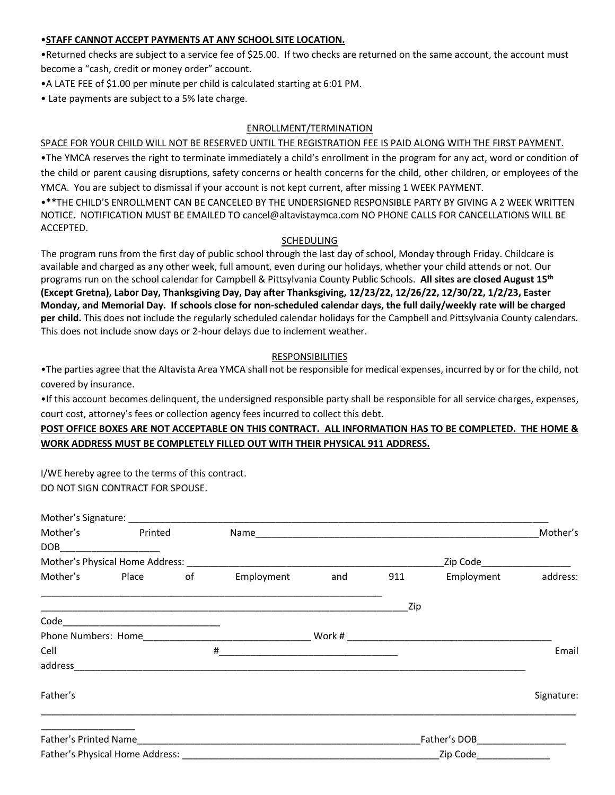#### •**STAFF CANNOT ACCEPT PAYMENTS AT ANY SCHOOL SITE LOCATION.**

•Returned checks are subject to a service fee of \$25.00. If two checks are returned on the same account, the account must become a "cash, credit or money order" account.

- •A LATE FEE of \$1.00 per minute per child is calculated starting at 6:01 PM.
- Late payments are subject to a 5% late charge.

#### ENROLLMENT/TERMINATION

#### SPACE FOR YOUR CHILD WILL NOT BE RESERVED UNTIL THE REGISTRATION FEE IS PAID ALONG WITH THE FIRST PAYMENT.

•The YMCA reserves the right to terminate immediately a child's enrollment in the program for any act, word or condition of the child or parent causing disruptions, safety concerns or health concerns for the child, other children, or employees of the YMCA. You are subject to dismissal if your account is not kept current, after missing 1 WEEK PAYMENT.

•\*\*THE CHILD'S ENROLLMENT CAN BE CANCELED BY THE UNDERSIGNED RESPONSIBLE PARTY BY GIVING A 2 WEEK WRITTEN NOTICE. NOTIFICATION MUST BE EMAILED TO cancel@altavistaymca.com NO PHONE CALLS FOR CANCELLATIONS WILL BE ACCEPTED.

#### SCHEDULING

The program runs from the first day of public school through the last day of school, Monday through Friday. Childcare is available and charged as any other week, full amount, even during our holidays, whether your child attends or not. Our programs run on the school calendar for Campbell & Pittsylvania County Public Schools. **All sites are closed August 15 th (Except Gretna), Labor Day, Thanksgiving Day, Day after Thanksgiving, 12/23/22, 12/26/22, 12/30/22, 1/2/23, Easter Monday, and Memorial Day. If schools close for non-scheduled calendar days, the full daily/weekly rate will be charged per child.** This does not include the regularly scheduled calendar holidays for the Campbell and Pittsylvania County calendars. This does not include snow days or 2-hour delays due to inclement weather.

## RESPONSIBILITIES

•The parties agree that the Altavista Area YMCA shall not be responsible for medical expenses, incurred by or for the child, not covered by insurance.

•If this account becomes delinquent, the undersigned responsible party shall be responsible for all service charges, expenses, court cost, attorney's fees or collection agency fees incurred to collect this debt.

# **POST OFFICE BOXES ARE NOT ACCEPTABLE ON THIS CONTRACT. ALL INFORMATION HAS TO BE COMPLETED. THE HOME & WORK ADDRESS MUST BE COMPLETELY FILLED OUT WITH THEIR PHYSICAL 911 ADDRESS.**

I/WE hereby agree to the terms of this contract. DO NOT SIGN CONTRACT FOR SPOUSE.

|                       | Mother's Printed         |    |            |                                                                                           |                           |                          | Mother's   |  |
|-----------------------|--------------------------|----|------------|-------------------------------------------------------------------------------------------|---------------------------|--------------------------|------------|--|
|                       | DOB_____________________ |    |            |                                                                                           |                           |                          |            |  |
|                       |                          |    |            |                                                                                           |                           | Zip Code________________ |            |  |
|                       | Mother's Place           | of | Employment | and                                                                                       | 911                       | Employment               | address:   |  |
|                       |                          |    |            |                                                                                           | Zip                       |                          |            |  |
|                       |                          |    |            |                                                                                           |                           |                          |            |  |
|                       |                          |    |            |                                                                                           |                           |                          |            |  |
| Cell                  |                          |    | #          | the control of the control of the control of the control of the control of the control of |                           |                          | Email      |  |
|                       |                          |    |            |                                                                                           |                           |                          |            |  |
| Father's              |                          |    |            |                                                                                           |                           |                          | Signature: |  |
| Father's Printed Name |                          |    |            |                                                                                           |                           |                          |            |  |
|                       |                          |    |            |                                                                                           | Zip Code ________________ |                          |            |  |